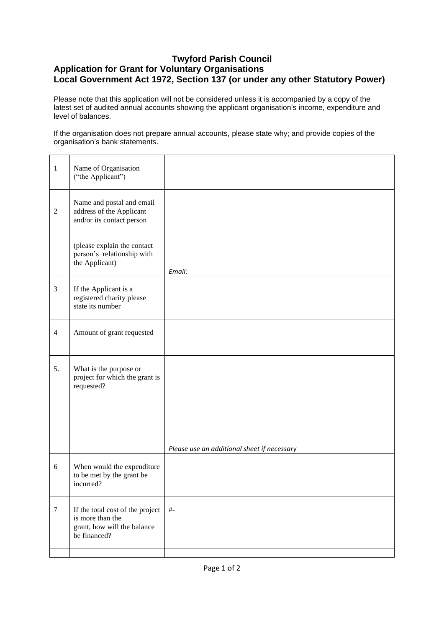## **Twyford Parish Council Application for Grant for Voluntary Organisations Local Government Act 1972, Section 137 (or under any other Statutory Power)**

Please note that this application will not be considered unless it is accompanied by a copy of the latest set of audited annual accounts showing the applicant organisation's income, expenditure and level of balances.

If the organisation does not prepare annual accounts, please state why; and provide copies of the organisation's bank statements.

| $\mathbf{1}$   | Name of Organisation<br>("the Applicant")                                                           |                                             |
|----------------|-----------------------------------------------------------------------------------------------------|---------------------------------------------|
| $\overline{2}$ | Name and postal and email<br>address of the Applicant<br>and/or its contact person                  |                                             |
|                | (please explain the contact<br>person's relationship with<br>the Applicant)                         | Email:                                      |
| 3              | If the Applicant is a<br>registered charity please<br>state its number                              |                                             |
| $\overline{4}$ | Amount of grant requested                                                                           |                                             |
| 5.             | What is the purpose or<br>project for which the grant is<br>requested?                              |                                             |
|                |                                                                                                     | Please use an additional sheet if necessary |
| 6              | When would the expenditure<br>to be met by the grant be<br>incurred?                                |                                             |
| $\tau$         | If the total cost of the project<br>is more than the<br>grant, how will the balance<br>be financed? | $\#$ -                                      |
|                |                                                                                                     |                                             |